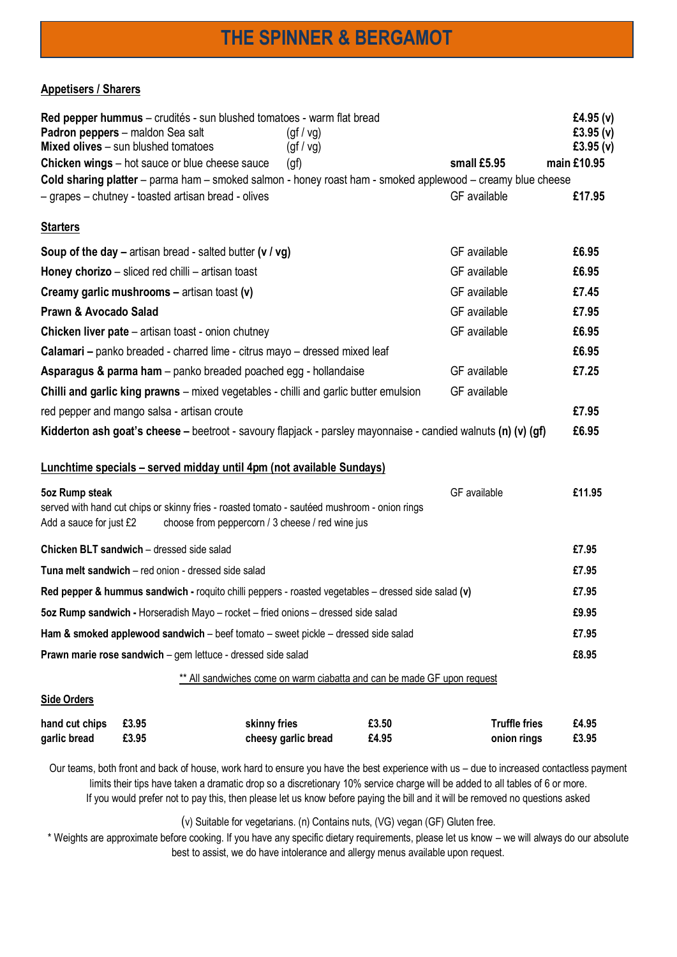## **THE SPINNER & BERGAMOT**

## **Appetisers / Sharers**

|                                                                                                               | Red pepper hummus – crudités - sun blushed tomatoes - warm flat bread<br>Padron peppers - maldon Sea salt<br>Mixed olives - sun blushed tomatoes | (gf/vg)<br>(gf/vg)                                                      |                |                                                                                                            | £4.95 $(v)$<br>£3.95 $(v)$<br>£3.95 $(v)$ |  |  |
|---------------------------------------------------------------------------------------------------------------|--------------------------------------------------------------------------------------------------------------------------------------------------|-------------------------------------------------------------------------|----------------|------------------------------------------------------------------------------------------------------------|-------------------------------------------|--|--|
|                                                                                                               | <b>Chicken wings</b> – hot sauce or blue cheese sauce                                                                                            | (qf)                                                                    |                | small £5.95                                                                                                | main £10.95                               |  |  |
|                                                                                                               |                                                                                                                                                  |                                                                         |                | Cold sharing platter - parma ham - smoked salmon - honey roast ham - smoked applewood - creamy blue cheese |                                           |  |  |
|                                                                                                               | - grapes - chutney - toasted artisan bread - olives                                                                                              |                                                                         |                | GF available                                                                                               | £17.95                                    |  |  |
| <b>Starters</b>                                                                                               |                                                                                                                                                  |                                                                         |                |                                                                                                            |                                           |  |  |
|                                                                                                               | Soup of the day – artisan bread - salted butter ( $v / vg$ )                                                                                     |                                                                         |                | GF available                                                                                               | £6.95                                     |  |  |
| Honey chorizo – sliced red chilli – artisan toast                                                             | GF available                                                                                                                                     | £6.95                                                                   |                |                                                                                                            |                                           |  |  |
| Creamy garlic mushrooms - artisan toast (v)<br>GF available                                                   |                                                                                                                                                  |                                                                         |                |                                                                                                            |                                           |  |  |
| Prawn & Avocado Salad<br>GF available                                                                         |                                                                                                                                                  |                                                                         |                |                                                                                                            |                                           |  |  |
|                                                                                                               | <b>Chicken liver pate</b> – artisan toast - onion chutney                                                                                        |                                                                         |                | GF available                                                                                               | £6.95                                     |  |  |
| Calamari - panko breaded - charred lime - citrus mayo - dressed mixed leaf                                    |                                                                                                                                                  |                                                                         |                |                                                                                                            |                                           |  |  |
| GF available<br>Asparagus & parma ham – panko breaded poached egg - hollandaise                               |                                                                                                                                                  |                                                                         |                |                                                                                                            |                                           |  |  |
|                                                                                                               | <b>Chilli and garlic king prawns</b> – mixed vegetables - chilli and garlic butter emulsion                                                      |                                                                         |                | GF available                                                                                               |                                           |  |  |
| red pepper and mango salsa - artisan croute                                                                   |                                                                                                                                                  |                                                                         |                |                                                                                                            |                                           |  |  |
| Kidderton ash goat's cheese – beetroot - savoury flapjack - parsley mayonnaise - candied walnuts (n) (v) (gf) |                                                                                                                                                  |                                                                         |                |                                                                                                            |                                           |  |  |
|                                                                                                               | Lunchtime specials - served midday until 4pm (not available Sundays)                                                                             |                                                                         |                |                                                                                                            |                                           |  |  |
| 5oz Rump steak                                                                                                |                                                                                                                                                  |                                                                         |                | GF available                                                                                               | £11.95                                    |  |  |
| Add a sauce for just £2                                                                                       | served with hand cut chips or skinny fries - roasted tomato - sautéed mushroom - onion rings                                                     | choose from peppercorn / 3 cheese / red wine jus                        |                |                                                                                                            |                                           |  |  |
|                                                                                                               | Chicken BLT sandwich - dressed side salad                                                                                                        |                                                                         |                |                                                                                                            | £7.95                                     |  |  |
| Tuna melt sandwich - red onion - dressed side salad                                                           |                                                                                                                                                  |                                                                         |                |                                                                                                            |                                           |  |  |
| Red pepper & hummus sandwich - roquito chilli peppers - roasted vegetables - dressed side salad (v)           |                                                                                                                                                  |                                                                         |                |                                                                                                            |                                           |  |  |
| 5oz Rump sandwich - Horseradish Mayo - rocket - fried onions - dressed side salad                             |                                                                                                                                                  |                                                                         |                |                                                                                                            |                                           |  |  |
| Ham & smoked applewood sandwich - beef tomato - sweet pickle - dressed side salad                             |                                                                                                                                                  |                                                                         |                |                                                                                                            |                                           |  |  |
| Prawn marie rose sandwich - gem lettuce - dressed side salad                                                  |                                                                                                                                                  |                                                                         |                |                                                                                                            |                                           |  |  |
|                                                                                                               |                                                                                                                                                  | ** All sandwiches come on warm ciabatta and can be made GF upon request |                |                                                                                                            |                                           |  |  |
| <b>Side Orders</b>                                                                                            |                                                                                                                                                  |                                                                         |                |                                                                                                            |                                           |  |  |
| hand cut chips<br>garlic bread                                                                                | £3.95<br>£3.95                                                                                                                                   | skinny fries<br>cheesy garlic bread                                     | £3.50<br>£4.95 | <b>Truffle fries</b><br>onion rings                                                                        | £4.95<br>£3.95                            |  |  |

Our teams, both front and back of house, work hard to ensure you have the best experience with us – due to increased contactless payment limits their tips have taken a dramatic drop so a discretionary 10% service charge will be added to all tables of 6 or more. If you would prefer not to pay this, then please let us know before paying the bill and it will be removed no questions asked

(v) Suitable for vegetarians. (n) Contains nuts, (VG) vegan (GF) Gluten free.

\* Weights are approximate before cooking. If you have any specific dietary requirements, please let us know – we will always do our absolute best to assist, we do have intolerance and allergy menus available upon request.